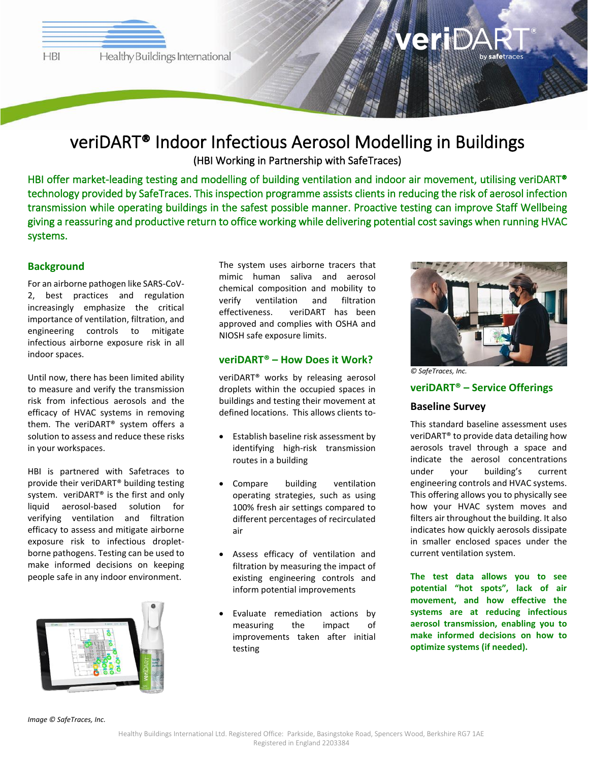**HBI** 

# afetraces

## veriDART® Indoor Infectious Aerosol Modelling in Buildings (HBI Working in Partnership with SafeTraces)

HBI offer market-leading testing and modelling of building ventilation and indoor air movement, utilising veriDART® technology provided by SafeTraces. This inspection programme assists clients in reducing the risk of aerosol infection transmission while operating buildings in the safest possible manner. Proactive testing can improve Staff Wellbeing giving a reassuring and productive return to office working while delivering potential cost savings when running HVAC systems.

#### **Background**

For an airborne pathogen like SARS-CoV-2, best practices and regulation increasingly emphasize the critical importance of ventilation, filtration, and engineering controls to mitigate infectious airborne exposure risk in all indoor spaces.

Until now, there has been limited ability to measure and verify the transmission risk from infectious aerosols and the efficacy of HVAC systems in removing them. The veriDART® system offers a solution to assess and reduce these risks in your workspaces.

HBI is partnered with Safetraces to provide their veriDART® building testing system. veriDART<sup>®</sup> is the first and only liquid aerosol-based solution for verifying ventilation and filtration efficacy to assess and mitigate airborne exposure risk to infectious dropletborne pathogens. Testing can be used to make informed decisions on keeping people safe in any indoor environment.



The system uses airborne tracers that mimic human saliva and aerosol chemical composition and mobility to verify ventilation and filtration effectiveness. veriDART has been approved and complies with OSHA and NIOSH safe exposure limits.

#### **veriDART® – How Does it Work?**

veriDART® works by releasing aerosol droplets within the occupied spaces in buildings and testing their movement at defined locations. This allows clients to-

- Establish baseline risk assessment by identifying high-risk transmission routes in a building
- Compare building ventilation operating strategies, such as using 100% fresh air settings compared to different percentages of recirculated air
- Assess efficacy of ventilation and filtration by measuring the impact of existing engineering controls and inform potential improvements
- Evaluate remediation actions by measuring the impact of improvements taken after initial testing



*© SafeTraces, Inc.*

#### **veriDART® – Service Offerings**

#### **Baseline Survey**

This standard baseline assessment uses veriDART® to provide data detailing how aerosols travel through a space and indicate the aerosol concentrations under your building's current engineering controls and HVAC systems. This offering allows you to physically see how your HVAC system moves and filters air throughout the building. It also indicates how quickly aerosols dissipate in smaller enclosed spaces under the current ventilation system.

**The test data allows you to see potential "hot spots", lack of air movement, and how effective the systems are at reducing infectious aerosol transmission, enabling you to make informed decisions on how to optimize systems (if needed).**

*Image © SafeTraces, Inc.*